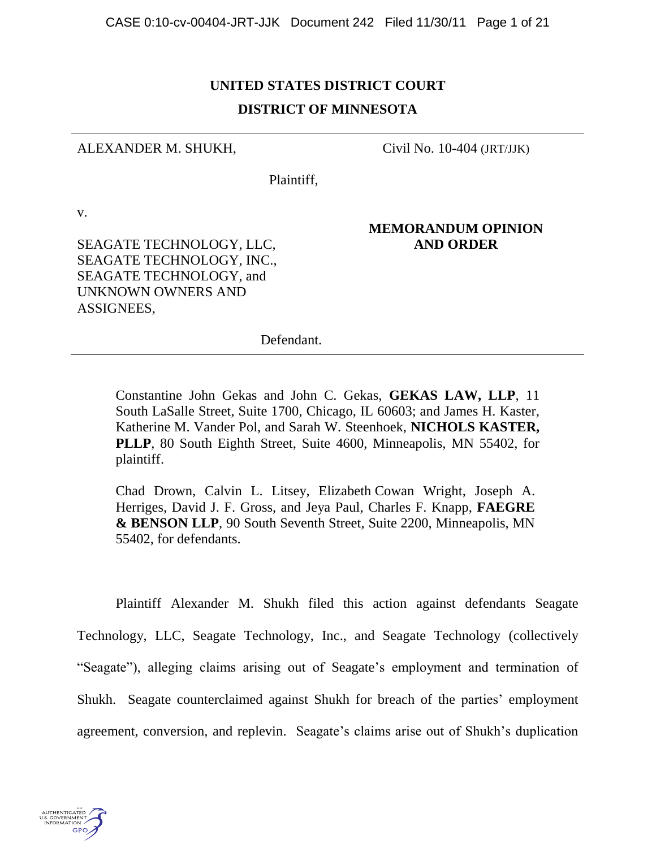# **UNITED STATES DISTRICT COURT DISTRICT OF MINNESOTA**

### ALEXANDER M. SHUKH,

Civil No. 10-404 (JRT/JJK)

Plaintiff,

v.

SEAGATE TECHNOLOGY, LLC, SEAGATE TECHNOLOGY, INC., SEAGATE TECHNOLOGY, and UNKNOWN OWNERS AND ASSIGNEES,

# **MEMORANDUM OPINION AND ORDER**

Defendant.

Constantine John Gekas and John C. Gekas, **GEKAS LAW, LLP**, 11 South LaSalle Street, Suite 1700, Chicago, IL 60603; and James H. Kaster, Katherine M. Vander Pol, and Sarah W. Steenhoek, **NICHOLS KASTER, PLLP**, 80 South Eighth Street, Suite 4600, Minneapolis, MN 55402, for plaintiff.

Chad Drown, Calvin L. Litsey, Elizabeth Cowan Wright, Joseph A. Herriges, David J. F. Gross, and Jeya Paul, Charles F. Knapp, **FAEGRE & BENSON LLP**, 90 South Seventh Street, Suite 2200, Minneapolis, MN 55402, for defendants.

Plaintiff Alexander M. Shukh filed this action against defendants Seagate Technology, LLC, Seagate Technology, Inc., and Seagate Technology (collectively "Seagate"), alleging claims arising out of Seagate's employment and termination of Shukh. Seagate counterclaimed against Shukh for breach of the parties' employment agreement, conversion, and replevin. Seagate's claims arise out of Shukh's duplication

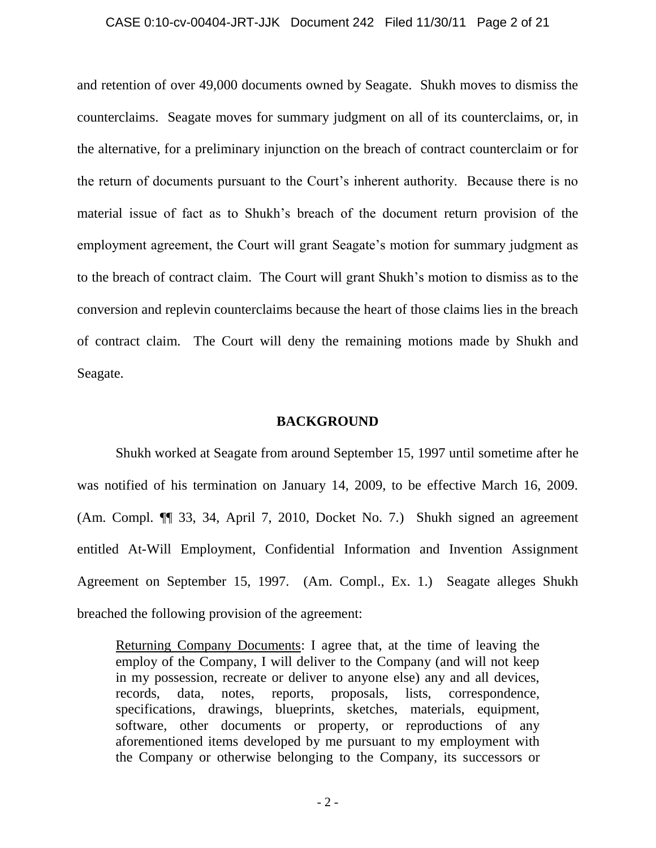#### CASE 0:10-cv-00404-JRT-JJK Document 242 Filed 11/30/11 Page 2 of 21

and retention of over 49,000 documents owned by Seagate. Shukh moves to dismiss the counterclaims. Seagate moves for summary judgment on all of its counterclaims, or, in the alternative, for a preliminary injunction on the breach of contract counterclaim or for the return of documents pursuant to the Court's inherent authority. Because there is no material issue of fact as to Shukh"s breach of the document return provision of the employment agreement, the Court will grant Seagate's motion for summary judgment as to the breach of contract claim. The Court will grant Shukh"s motion to dismiss as to the conversion and replevin counterclaims because the heart of those claims lies in the breach of contract claim. The Court will deny the remaining motions made by Shukh and Seagate.

#### **BACKGROUND**

Shukh worked at Seagate from around September 15, 1997 until sometime after he was notified of his termination on January 14, 2009, to be effective March 16, 2009. (Am. Compl. ¶¶ 33, 34, April 7, 2010, Docket No. 7.) Shukh signed an agreement entitled At-Will Employment, Confidential Information and Invention Assignment Agreement on September 15, 1997. (Am. Compl., Ex. 1.) Seagate alleges Shukh breached the following provision of the agreement:

Returning Company Documents: I agree that, at the time of leaving the employ of the Company, I will deliver to the Company (and will not keep in my possession, recreate or deliver to anyone else) any and all devices, records, data, notes, reports, proposals, lists, correspondence, specifications, drawings, blueprints, sketches, materials, equipment, software, other documents or property, or reproductions of any aforementioned items developed by me pursuant to my employment with the Company or otherwise belonging to the Company, its successors or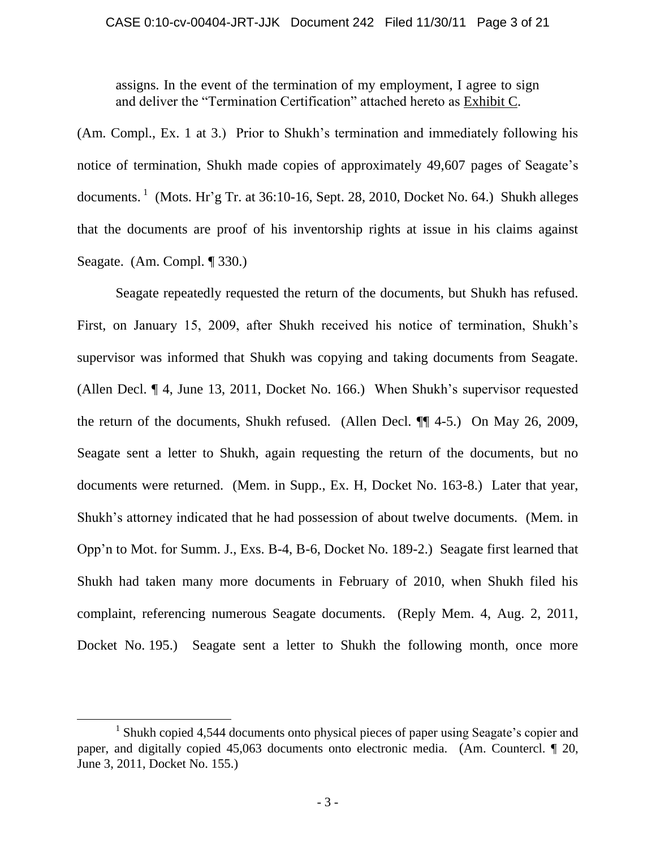assigns. In the event of the termination of my employment, I agree to sign and deliver the "Termination Certification" attached hereto as Exhibit C.

(Am. Compl., Ex. 1 at 3.) Prior to Shukh"s termination and immediately following his notice of termination, Shukh made copies of approximately 49,607 pages of Seagate's documents.  $\frac{1}{1}$  (Mots. Hr'g Tr. at 36:10-16, Sept. 28, 2010, Docket No. 64.) Shukh alleges that the documents are proof of his inventorship rights at issue in his claims against Seagate. (Am. Compl. ¶ 330.)

Seagate repeatedly requested the return of the documents, but Shukh has refused. First, on January 15, 2009, after Shukh received his notice of termination, Shukh's supervisor was informed that Shukh was copying and taking documents from Seagate. (Allen Decl. ¶ 4, June 13, 2011, Docket No. 166.) When Shukh"s supervisor requested the return of the documents, Shukh refused. (Allen Decl. ¶¶ 4-5.) On May 26, 2009, Seagate sent a letter to Shukh, again requesting the return of the documents, but no documents were returned. (Mem. in Supp., Ex. H, Docket No. 163-8.) Later that year, Shukh"s attorney indicated that he had possession of about twelve documents. (Mem. in Opp"n to Mot. for Summ. J., Exs. B-4, B-6, Docket No. 189-2.) Seagate first learned that Shukh had taken many more documents in February of 2010, when Shukh filed his complaint, referencing numerous Seagate documents. (Reply Mem. 4, Aug. 2, 2011, Docket No. 195.) Seagate sent a letter to Shukh the following month, once more

 $\overline{a}$ 

<sup>&</sup>lt;sup>1</sup> Shukh copied 4,544 documents onto physical pieces of paper using Seagate's copier and paper, and digitally copied 45,063 documents onto electronic media. (Am. Countercl. ¶ 20, June 3, 2011, Docket No. 155.)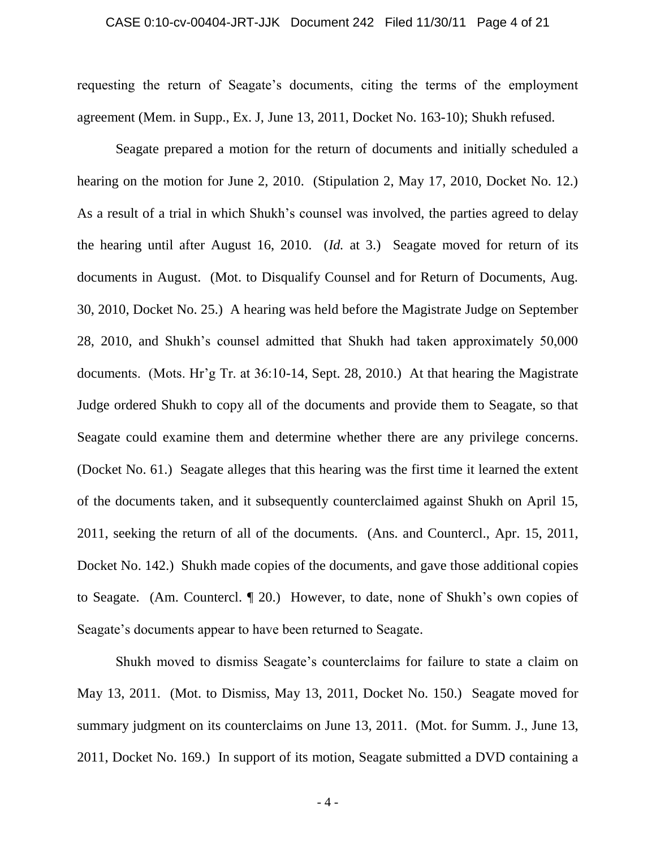#### CASE 0:10-cv-00404-JRT-JJK Document 242 Filed 11/30/11 Page 4 of 21

requesting the return of Seagate"s documents, citing the terms of the employment agreement (Mem. in Supp., Ex. J, June 13, 2011, Docket No. 163-10); Shukh refused.

Seagate prepared a motion for the return of documents and initially scheduled a hearing on the motion for June 2, 2010. (Stipulation 2, May 17, 2010, Docket No. 12.) As a result of a trial in which Shukh's counsel was involved, the parties agreed to delay the hearing until after August 16, 2010. (*Id.* at 3.) Seagate moved for return of its documents in August. (Mot. to Disqualify Counsel and for Return of Documents, Aug. 30, 2010, Docket No. 25.) A hearing was held before the Magistrate Judge on September 28, 2010, and Shukh"s counsel admitted that Shukh had taken approximately 50,000 documents. (Mots. Hr'g Tr. at 36:10-14, Sept. 28, 2010.) At that hearing the Magistrate Judge ordered Shukh to copy all of the documents and provide them to Seagate, so that Seagate could examine them and determine whether there are any privilege concerns. (Docket No. 61.) Seagate alleges that this hearing was the first time it learned the extent of the documents taken, and it subsequently counterclaimed against Shukh on April 15, 2011, seeking the return of all of the documents. (Ans. and Countercl., Apr. 15, 2011, Docket No. 142.) Shukh made copies of the documents, and gave those additional copies to Seagate. (Am. Countercl. ¶ 20.) However, to date, none of Shukh"s own copies of Seagate's documents appear to have been returned to Seagate.

Shukh moved to dismiss Seagate's counterclaims for failure to state a claim on May 13, 2011. (Mot. to Dismiss, May 13, 2011, Docket No. 150.) Seagate moved for summary judgment on its counterclaims on June 13, 2011. (Mot. for Summ. J., June 13, 2011, Docket No. 169.) In support of its motion, Seagate submitted a DVD containing a

- 4 -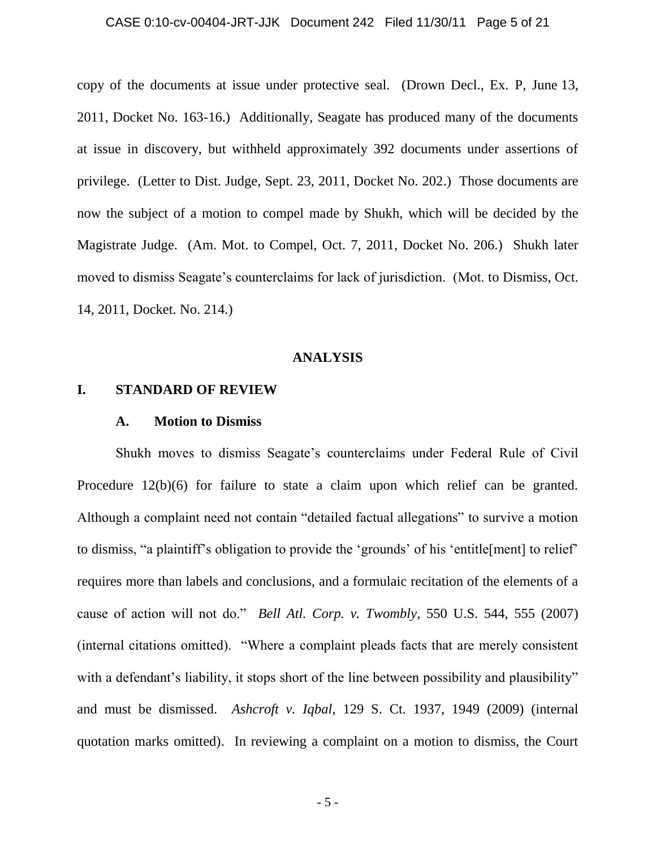#### CASE 0:10-cv-00404-JRT-JJK Document 242 Filed 11/30/11 Page 5 of 21

copy of the documents at issue under protective seal. (Drown Decl., Ex. P, June 13, 2011, Docket No. 163-16.) Additionally, Seagate has produced many of the documents at issue in discovery, but withheld approximately 392 documents under assertions of privilege. (Letter to Dist. Judge, Sept. 23, 2011, Docket No. 202.) Those documents are now the subject of a motion to compel made by Shukh, which will be decided by the Magistrate Judge. (Am. Mot. to Compel, Oct. 7, 2011, Docket No. 206.) Shukh later moved to dismiss Seagate's counterclaims for lack of jurisdiction. (Mot. to Dismiss, Oct. 14, 2011, Docket. No. 214.)

### **ANALYSIS**

### **I. STANDARD OF REVIEW**

#### **A. Motion to Dismiss**

Shukh moves to dismiss Seagate"s counterclaims under Federal Rule of Civil Procedure 12(b)(6) for failure to state a claim upon which relief can be granted. Although a complaint need not contain "detailed factual allegations" to survive a motion to dismiss, "a plaintiff"s obligation to provide the "grounds" of his "entitle[ment] to relief" requires more than labels and conclusions, and a formulaic recitation of the elements of a cause of action will not do." *Bell Atl. Corp. v. Twombly*, 550 U.S. 544, 555 (2007) (internal citations omitted). "Where a complaint pleads facts that are merely consistent with a defendant's liability, it stops short of the line between possibility and plausibility" and must be dismissed. *Ashcroft v. Iqbal*, 129 S. Ct. 1937, 1949 (2009) (internal quotation marks omitted). In reviewing a complaint on a motion to dismiss, the Court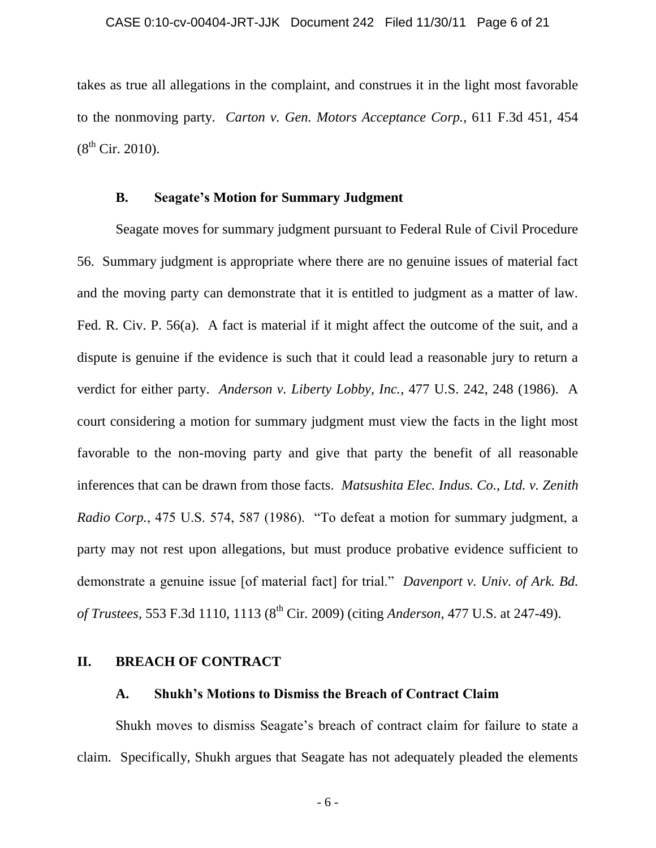takes as true all allegations in the complaint, and construes it in the light most favorable to the nonmoving party. *Carton v. Gen. Motors Acceptance Corp.*, 611 F.3d 451, 454  $(8^{th}$  Cir. 2010).

### **B. Seagate's Motion for Summary Judgment**

Seagate moves for summary judgment pursuant to Federal Rule of Civil Procedure 56. Summary judgment is appropriate where there are no genuine issues of material fact and the moving party can demonstrate that it is entitled to judgment as a matter of law. Fed. R. Civ. P. 56(a). A fact is material if it might affect the outcome of the suit, and a dispute is genuine if the evidence is such that it could lead a reasonable jury to return a verdict for either party. *Anderson v. Liberty Lobby, Inc.*, 477 U.S. 242, 248 (1986). A court considering a motion for summary judgment must view the facts in the light most favorable to the non-moving party and give that party the benefit of all reasonable inferences that can be drawn from those facts. *Matsushita Elec. Indus. Co., Ltd. v. Zenith Radio Corp.*, 475 U.S. 574, 587 (1986). "To defeat a motion for summary judgment, a party may not rest upon allegations, but must produce probative evidence sufficient to demonstrate a genuine issue [of material fact] for trial." *Davenport v. Univ. of Ark. Bd. of Trustees*, 553 F.3d 1110, 1113 (8<sup>th</sup> Cir. 2009) (citing *Anderson*, 477 U.S. at 247-49).

# **II. BREACH OF CONTRACT**

### **A. Shukh's Motions to Dismiss the Breach of Contract Claim**

Shukh moves to dismiss Seagate"s breach of contract claim for failure to state a claim. Specifically, Shukh argues that Seagate has not adequately pleaded the elements

- 6 -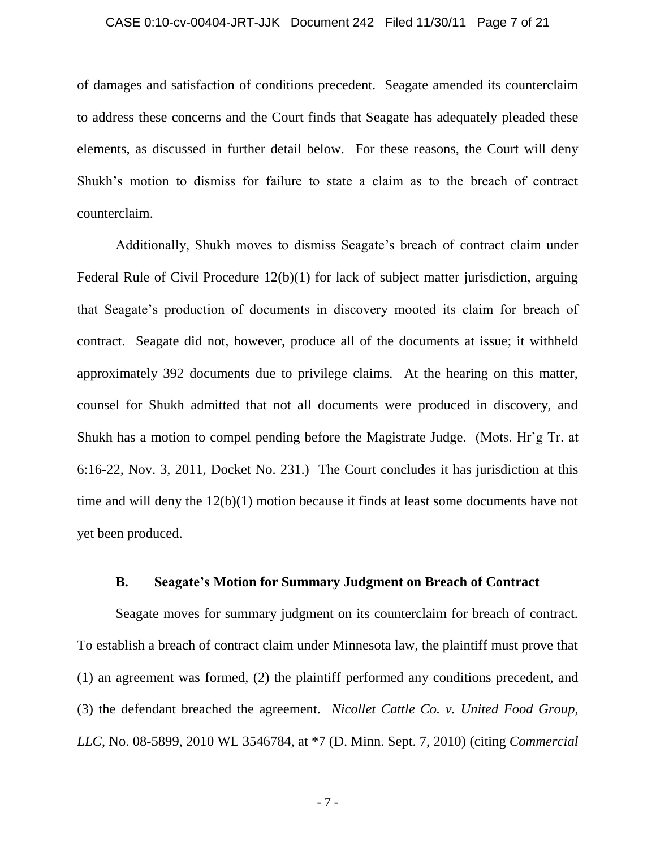# CASE 0:10-cv-00404-JRT-JJK Document 242 Filed 11/30/11 Page 7 of 21

of damages and satisfaction of conditions precedent. Seagate amended its counterclaim to address these concerns and the Court finds that Seagate has adequately pleaded these elements, as discussed in further detail below. For these reasons, the Court will deny Shukh"s motion to dismiss for failure to state a claim as to the breach of contract counterclaim.

Additionally, Shukh moves to dismiss Seagate's breach of contract claim under Federal Rule of Civil Procedure 12(b)(1) for lack of subject matter jurisdiction, arguing that Seagate"s production of documents in discovery mooted its claim for breach of contract. Seagate did not, however, produce all of the documents at issue; it withheld approximately 392 documents due to privilege claims. At the hearing on this matter, counsel for Shukh admitted that not all documents were produced in discovery, and Shukh has a motion to compel pending before the Magistrate Judge. (Mots. Hr"g Tr. at 6:16-22, Nov. 3, 2011, Docket No. 231.) The Court concludes it has jurisdiction at this time and will deny the 12(b)(1) motion because it finds at least some documents have not yet been produced.

#### **B. Seagate's Motion for Summary Judgment on Breach of Contract**

Seagate moves for summary judgment on its counterclaim for breach of contract. To establish a breach of contract claim under Minnesota law, the plaintiff must prove that (1) an agreement was formed, (2) the plaintiff performed any conditions precedent, and (3) the defendant breached the agreement. *Nicollet Cattle Co. v. United Food Group, LLC*, No. 08-5899, 2010 WL 3546784, at \*7 (D. Minn. Sept. 7, 2010) (citing *Commercial* 

- 7 -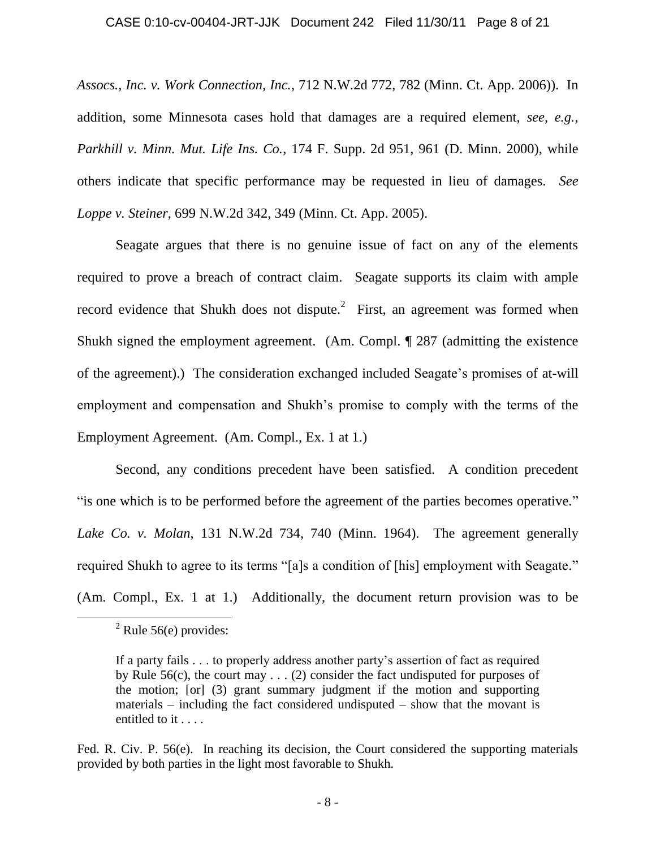#### CASE 0:10-cv-00404-JRT-JJK Document 242 Filed 11/30/11 Page 8 of 21

*Assocs., Inc. v. Work Connection, Inc.*, 712 N.W.2d 772, 782 (Minn. Ct. App. 2006)). In addition, some Minnesota cases hold that damages are a required element, *see, e.g., Parkhill v. Minn. Mut. Life Ins. Co.*, 174 F. Supp. 2d 951, 961 (D. Minn. 2000), while others indicate that specific performance may be requested in lieu of damages. *See Loppe v. Steiner*, 699 N.W.2d 342, 349 (Minn. Ct. App. 2005).

Seagate argues that there is no genuine issue of fact on any of the elements required to prove a breach of contract claim. Seagate supports its claim with ample record evidence that Shukh does not dispute.<sup>2</sup> First, an agreement was formed when Shukh signed the employment agreement. (Am. Compl. ¶ 287 (admitting the existence of the agreement).) The consideration exchanged included Seagate's promises of at-will employment and compensation and Shukh"s promise to comply with the terms of the Employment Agreement. (Am. Compl., Ex. 1 at 1.)

Second, any conditions precedent have been satisfied. A condition precedent "is one which is to be performed before the agreement of the parties becomes operative." *Lake Co. v. Molan*, 131 N.W.2d 734, 740 (Minn. 1964). The agreement generally required Shukh to agree to its terms "[a]s a condition of [his] employment with Seagate." (Am. Compl., Ex. 1 at 1.) Additionally, the document return provision was to be

 $\overline{a}$ 

Fed. R. Civ. P. 56(e). In reaching its decision, the Court considered the supporting materials provided by both parties in the light most favorable to Shukh.

 $2$  Rule 56(e) provides:

If a party fails . . . to properly address another party"s assertion of fact as required by Rule 56(c), the court may  $\dots$  (2) consider the fact undisputed for purposes of the motion; [or] (3) grant summary judgment if the motion and supporting materials – including the fact considered undisputed – show that the movant is entitled to it . . . .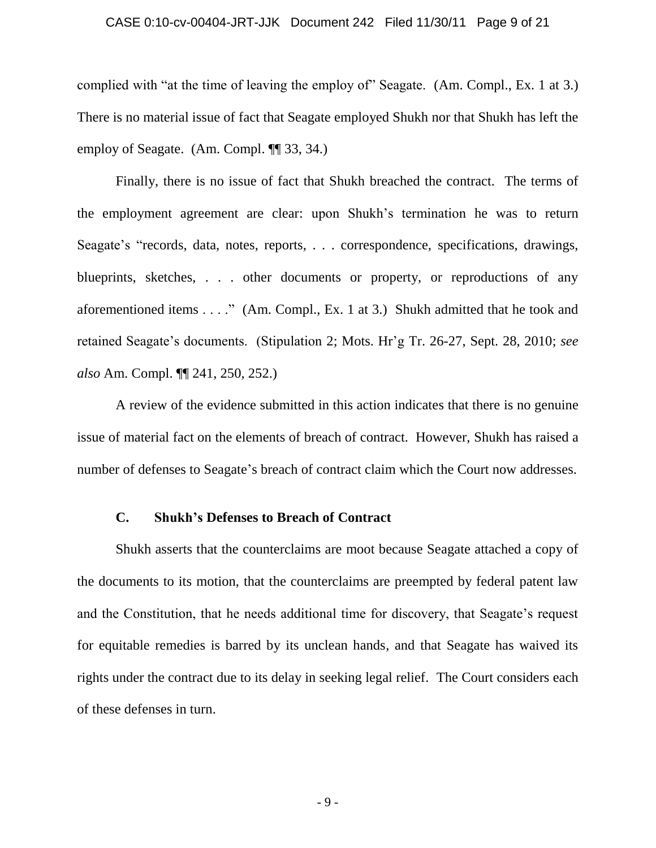# CASE 0:10-cv-00404-JRT-JJK Document 242 Filed 11/30/11 Page 9 of 21

complied with "at the time of leaving the employ of" Seagate. (Am. Compl., Ex. 1 at 3.) There is no material issue of fact that Seagate employed Shukh nor that Shukh has left the employ of Seagate. (Am. Compl. ¶¶ 33, 34.)

Finally, there is no issue of fact that Shukh breached the contract. The terms of the employment agreement are clear: upon Shukh"s termination he was to return Seagate's "records, data, notes, reports, . . . correspondence, specifications, drawings, blueprints, sketches, . . . other documents or property, or reproductions of any aforementioned items . . . ." (Am. Compl., Ex. 1 at 3.) Shukh admitted that he took and retained Seagate"s documents. (Stipulation 2; Mots. Hr"g Tr. 26-27, Sept. 28, 2010; *see also* Am. Compl. ¶¶ 241, 250, 252.)

A review of the evidence submitted in this action indicates that there is no genuine issue of material fact on the elements of breach of contract. However, Shukh has raised a number of defenses to Seagate's breach of contract claim which the Court now addresses.

### **C. Shukh's Defenses to Breach of Contract**

Shukh asserts that the counterclaims are moot because Seagate attached a copy of the documents to its motion, that the counterclaims are preempted by federal patent law and the Constitution, that he needs additional time for discovery, that Seagate's request for equitable remedies is barred by its unclean hands, and that Seagate has waived its rights under the contract due to its delay in seeking legal relief. The Court considers each of these defenses in turn.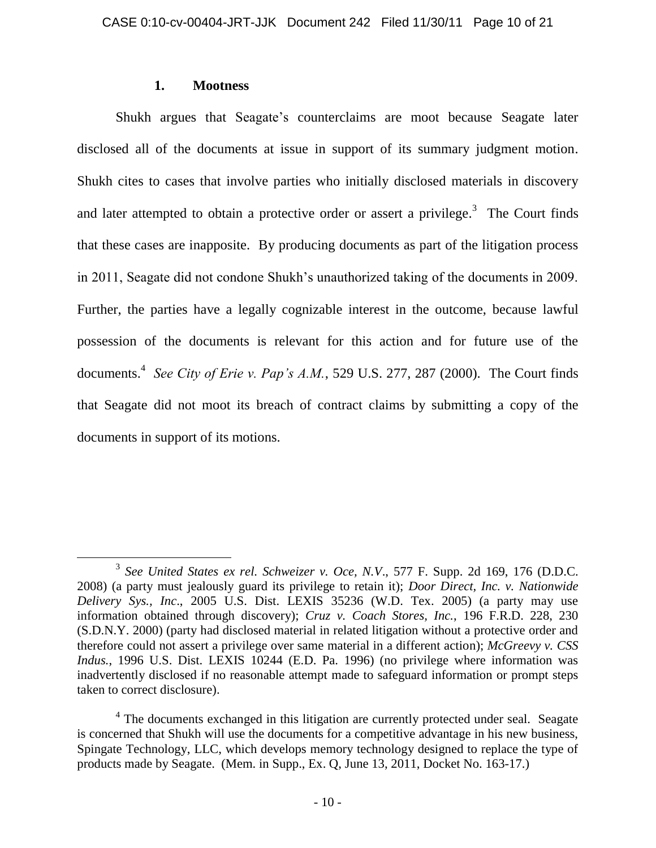### **1. Mootness**

 $\overline{a}$ 

Shukh argues that Seagate's counterclaims are moot because Seagate later disclosed all of the documents at issue in support of its summary judgment motion. Shukh cites to cases that involve parties who initially disclosed materials in discovery and later attempted to obtain a protective order or assert a privilege.<sup>3</sup> The Court finds that these cases are inapposite. By producing documents as part of the litigation process in 2011, Seagate did not condone Shukh"s unauthorized taking of the documents in 2009. Further, the parties have a legally cognizable interest in the outcome, because lawful possession of the documents is relevant for this action and for future use of the documents.<sup>4</sup> See City of Erie v. Pap's A.M., 529 U.S. 277, 287 (2000). The Court finds that Seagate did not moot its breach of contract claims by submitting a copy of the documents in support of its motions.

<sup>3</sup> *See United States ex rel. Schweizer v. Oce, N.V*., 577 F. Supp. 2d 169, 176 (D.D.C. 2008) (a party must jealously guard its privilege to retain it); *Door Direct, Inc. v. Nationwide Delivery Sys., Inc*., 2005 U.S. Dist. LEXIS 35236 (W.D. Tex. 2005) (a party may use information obtained through discovery); *Cruz v. Coach Stores, Inc.*, 196 F.R.D. 228, 230 (S.D.N.Y. 2000) (party had disclosed material in related litigation without a protective order and therefore could not assert a privilege over same material in a different action); *McGreevy v. CSS Indus.*, 1996 U.S. Dist. LEXIS 10244 (E.D. Pa. 1996) (no privilege where information was inadvertently disclosed if no reasonable attempt made to safeguard information or prompt steps taken to correct disclosure).

<sup>&</sup>lt;sup>4</sup> The documents exchanged in this litigation are currently protected under seal. Seagate is concerned that Shukh will use the documents for a competitive advantage in his new business, Spingate Technology, LLC, which develops memory technology designed to replace the type of products made by Seagate. (Mem. in Supp., Ex. Q, June 13, 2011, Docket No. 163-17.)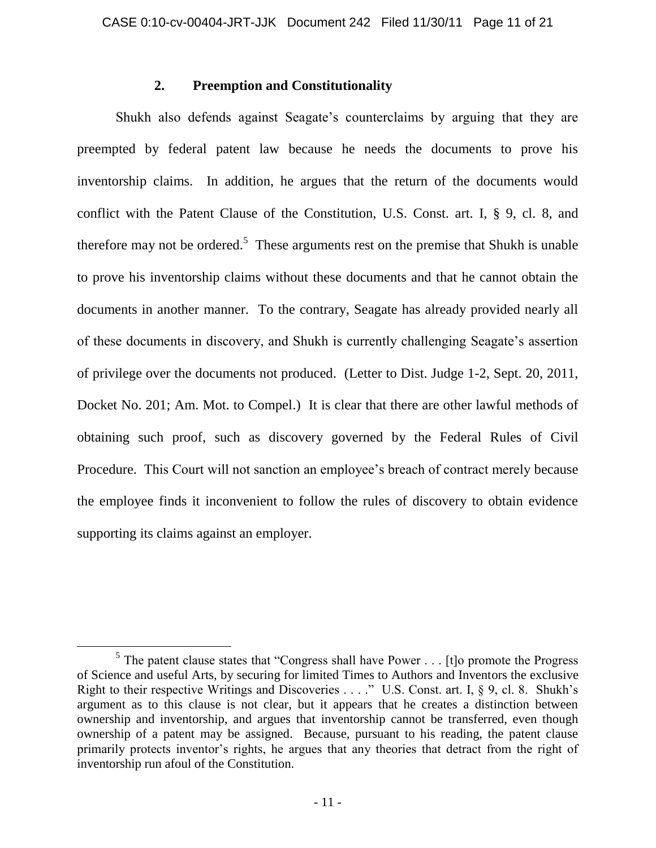# **2. Preemption and Constitutionality**

Shukh also defends against Seagate's counterclaims by arguing that they are preempted by federal patent law because he needs the documents to prove his inventorship claims. In addition, he argues that the return of the documents would conflict with the Patent Clause of the Constitution, U.S. Const. art. I, § 9, cl. 8, and therefore may not be ordered.<sup>5</sup> These arguments rest on the premise that Shukh is unable to prove his inventorship claims without these documents and that he cannot obtain the documents in another manner. To the contrary, Seagate has already provided nearly all of these documents in discovery, and Shukh is currently challenging Seagate"s assertion of privilege over the documents not produced. (Letter to Dist. Judge 1-2, Sept. 20, 2011, Docket No. 201; Am. Mot. to Compel.) It is clear that there are other lawful methods of obtaining such proof, such as discovery governed by the Federal Rules of Civil Procedure. This Court will not sanction an employee's breach of contract merely because the employee finds it inconvenient to follow the rules of discovery to obtain evidence supporting its claims against an employer.

 $\overline{a}$ 

<sup>&</sup>lt;sup>5</sup> The patent clause states that "Congress shall have Power  $\dots$  [t]o promote the Progress of Science and useful Arts, by securing for limited Times to Authors and Inventors the exclusive Right to their respective Writings and Discoveries . . . ." U.S. Const. art. I, § 9, cl. 8. Shukh's argument as to this clause is not clear, but it appears that he creates a distinction between ownership and inventorship, and argues that inventorship cannot be transferred, even though ownership of a patent may be assigned. Because, pursuant to his reading, the patent clause primarily protects inventor's rights, he argues that any theories that detract from the right of inventorship run afoul of the Constitution.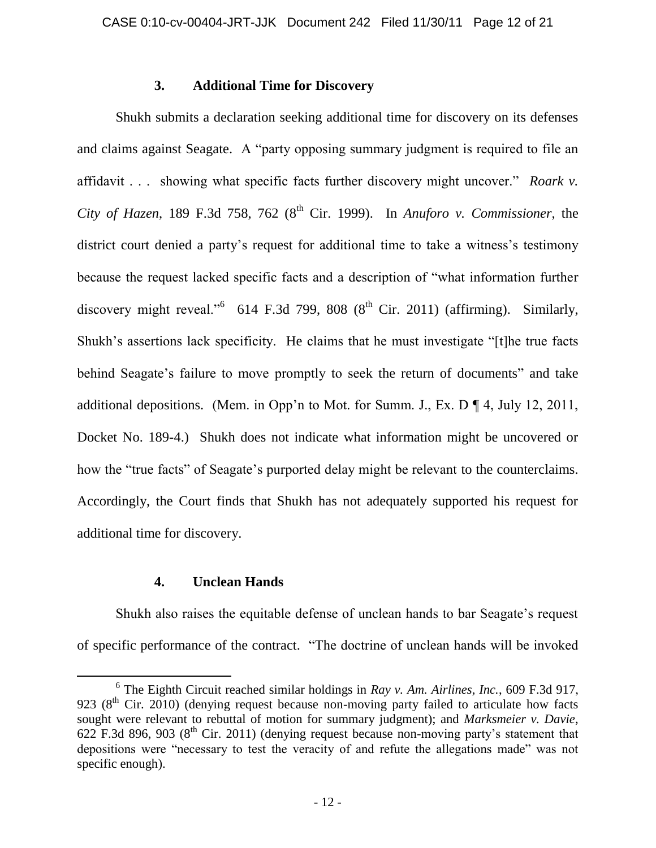### **3. Additional Time for Discovery**

Shukh submits a declaration seeking additional time for discovery on its defenses and claims against Seagate. A "party opposing summary judgment is required to file an affidavit . . . showing what specific facts further discovery might uncover." *Roark v. City of Hazen*, 189 F.3d 758, 762 ( $8<sup>th</sup>$  Cir. 1999). In *Anuforo v. Commissioner*, the district court denied a party's request for additional time to take a witness's testimony because the request lacked specific facts and a description of "what information further discovery might reveal."<sup>6</sup> 614 F.3d 799, 808 ( $8<sup>th</sup>$  Cir. 2011) (affirming). Similarly, Shukh"s assertions lack specificity. He claims that he must investigate "[t]he true facts behind Seagate's failure to move promptly to seek the return of documents" and take additional depositions. (Mem. in Opp'n to Mot. for Summ. J., Ex. D  $\P$  4, July 12, 2011, Docket No. 189-4.) Shukh does not indicate what information might be uncovered or how the "true facts" of Seagate's purported delay might be relevant to the counterclaims. Accordingly, the Court finds that Shukh has not adequately supported his request for additional time for discovery.

# **4. Unclean Hands**

 $\overline{a}$ 

Shukh also raises the equitable defense of unclean hands to bar Seagate's request of specific performance of the contract. "The doctrine of unclean hands will be invoked

<sup>6</sup> The Eighth Circuit reached similar holdings in *Ray v. Am. Airlines, Inc.*, 609 F.3d 917, 923 ( $8<sup>th</sup>$  Cir. 2010) (denying request because non-moving party failed to articulate how facts sought were relevant to rebuttal of motion for summary judgment); and *Marksmeier v. Davie*, 622 F.3d 896, 903 ( $8<sup>th</sup>$  Cir. 2011) (denying request because non-moving party's statement that depositions were "necessary to test the veracity of and refute the allegations made" was not specific enough).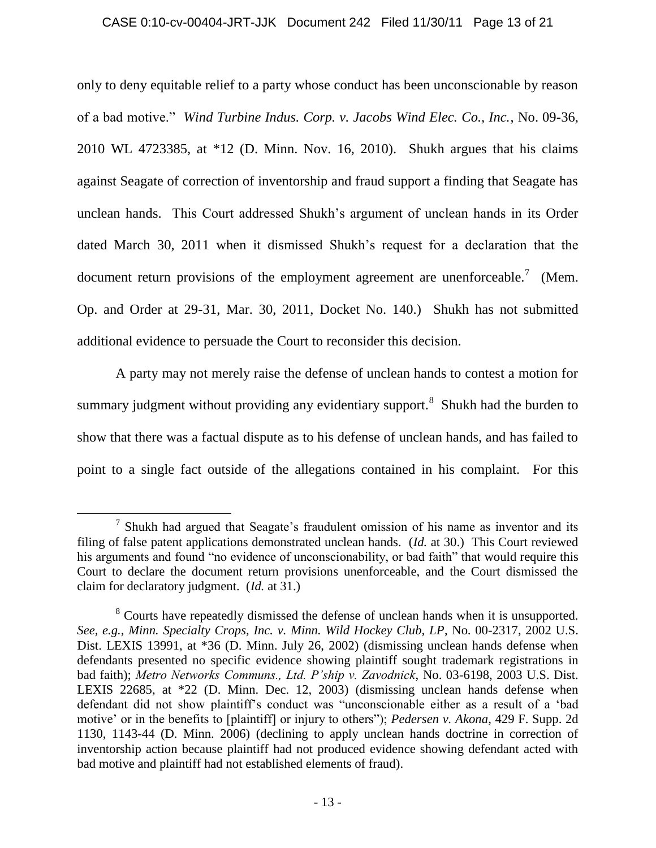### CASE 0:10-cv-00404-JRT-JJK Document 242 Filed 11/30/11 Page 13 of 21

only to deny equitable relief to a party whose conduct has been unconscionable by reason of a bad motive." *Wind Turbine Indus. Corp. v. Jacobs Wind Elec. Co., Inc.*, No. 09-36, 2010 WL 4723385, at \*12 (D. Minn. Nov. 16, 2010). Shukh argues that his claims against Seagate of correction of inventorship and fraud support a finding that Seagate has unclean hands. This Court addressed Shukh"s argument of unclean hands in its Order dated March 30, 2011 when it dismissed Shukh"s request for a declaration that the document return provisions of the employment agreement are unenforceable.<sup>7</sup> (Mem. Op. and Order at 29-31, Mar. 30, 2011, Docket No. 140.) Shukh has not submitted additional evidence to persuade the Court to reconsider this decision.

A party may not merely raise the defense of unclean hands to contest a motion for summary judgment without providing any evidentiary support.<sup>8</sup> Shukh had the burden to show that there was a factual dispute as to his defense of unclean hands, and has failed to point to a single fact outside of the allegations contained in his complaint. For this

 $\overline{a}$ 

 $<sup>7</sup>$  Shukh had argued that Seagate's fraudulent omission of his name as inventor and its</sup> filing of false patent applications demonstrated unclean hands. (*Id.* at 30.) This Court reviewed his arguments and found "no evidence of unconscionability, or bad faith" that would require this Court to declare the document return provisions unenforceable, and the Court dismissed the claim for declaratory judgment. (*Id.* at 31.)

<sup>&</sup>lt;sup>8</sup> Courts have repeatedly dismissed the defense of unclean hands when it is unsupported. *See, e.g., Minn. Specialty Crops, Inc. v. Minn. Wild Hockey Club, LP*, No. 00-2317, 2002 U.S. Dist. LEXIS 13991, at \*36 (D. Minn. July 26, 2002) (dismissing unclean hands defense when defendants presented no specific evidence showing plaintiff sought trademark registrations in bad faith); *Metro Networks Communs., Ltd. P'ship v. Zavodnick*, No. 03-6198, 2003 U.S. Dist. LEXIS 22685, at \*22 (D. Minn. Dec. 12, 2003) (dismissing unclean hands defense when defendant did not show plaintiff"s conduct was "unconscionable either as a result of a "bad motive" or in the benefits to [plaintiff] or injury to others"); *Pedersen v. Akona*, 429 F. Supp. 2d 1130, 1143-44 (D. Minn. 2006) (declining to apply unclean hands doctrine in correction of inventorship action because plaintiff had not produced evidence showing defendant acted with bad motive and plaintiff had not established elements of fraud).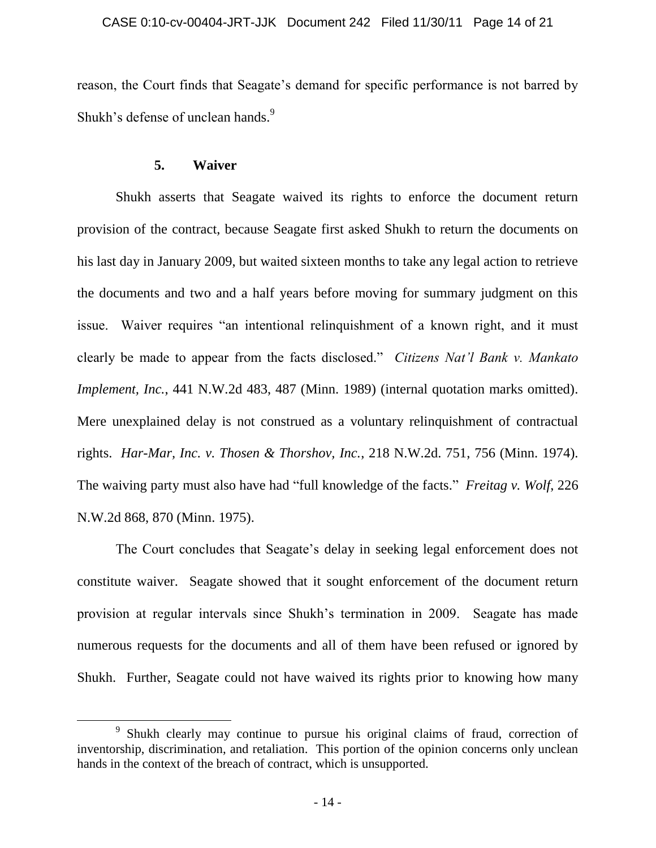reason, the Court finds that Seagate's demand for specific performance is not barred by Shukh's defense of unclean hands.<sup>9</sup>

# **5. Waiver**

 $\overline{a}$ 

Shukh asserts that Seagate waived its rights to enforce the document return provision of the contract, because Seagate first asked Shukh to return the documents on his last day in January 2009, but waited sixteen months to take any legal action to retrieve the documents and two and a half years before moving for summary judgment on this issue. Waiver requires "an intentional relinquishment of a known right, and it must clearly be made to appear from the facts disclosed." *Citizens Nat'l Bank v. Mankato Implement, Inc.*, 441 N.W.2d 483, 487 (Minn. 1989) (internal quotation marks omitted). Mere unexplained delay is not construed as a voluntary relinquishment of contractual rights. *Har-Mar, Inc. v. Thosen & Thorshov, Inc.*, 218 N.W.2d. 751, 756 (Minn. 1974). The waiving party must also have had "full knowledge of the facts." *Freitag v. Wolf*, 226 N.W.2d 868, 870 (Minn. 1975).

The Court concludes that Seagate"s delay in seeking legal enforcement does not constitute waiver. Seagate showed that it sought enforcement of the document return provision at regular intervals since Shukh"s termination in 2009. Seagate has made numerous requests for the documents and all of them have been refused or ignored by Shukh. Further, Seagate could not have waived its rights prior to knowing how many

<sup>&</sup>lt;sup>9</sup> Shukh clearly may continue to pursue his original claims of fraud, correction of inventorship, discrimination, and retaliation. This portion of the opinion concerns only unclean hands in the context of the breach of contract, which is unsupported.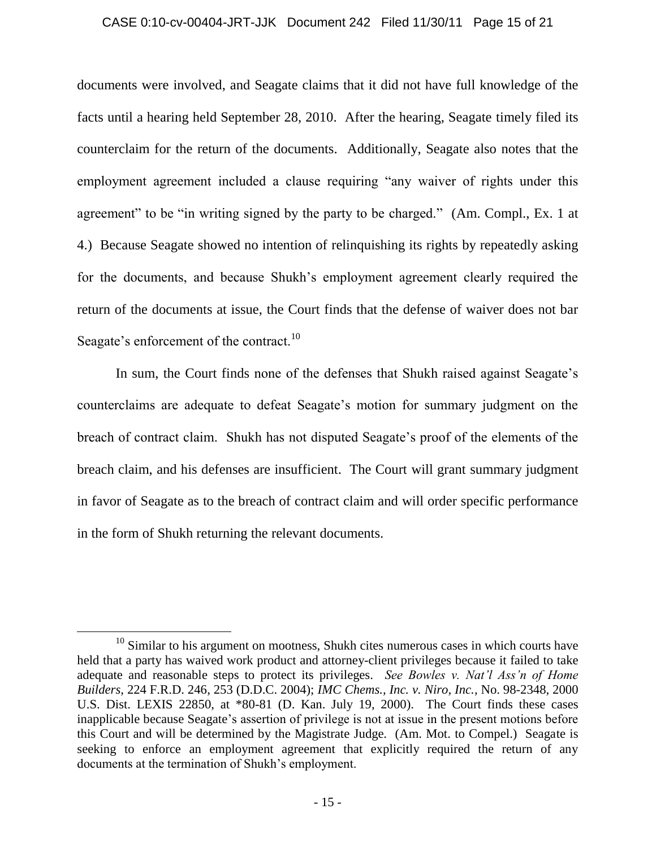#### CASE 0:10-cv-00404-JRT-JJK Document 242 Filed 11/30/11 Page 15 of 21

documents were involved, and Seagate claims that it did not have full knowledge of the facts until a hearing held September 28, 2010. After the hearing, Seagate timely filed its counterclaim for the return of the documents. Additionally, Seagate also notes that the employment agreement included a clause requiring "any waiver of rights under this agreement" to be "in writing signed by the party to be charged." (Am. Compl., Ex. 1 at 4.) Because Seagate showed no intention of relinquishing its rights by repeatedly asking for the documents, and because Shukh"s employment agreement clearly required the return of the documents at issue, the Court finds that the defense of waiver does not bar Seagate's enforcement of the contract.<sup>10</sup>

In sum, the Court finds none of the defenses that Shukh raised against Seagate's counterclaims are adequate to defeat Seagate"s motion for summary judgment on the breach of contract claim. Shukh has not disputed Seagate"s proof of the elements of the breach claim, and his defenses are insufficient. The Court will grant summary judgment in favor of Seagate as to the breach of contract claim and will order specific performance in the form of Shukh returning the relevant documents.

 $\overline{a}$ 

 $10$  Similar to his argument on mootness, Shukh cites numerous cases in which courts have held that a party has waived work product and attorney-client privileges because it failed to take adequate and reasonable steps to protect its privileges. *See Bowles v. Nat'l Ass'n of Home Builders*, 224 F.R.D. 246, 253 (D.D.C. 2004); *IMC Chems., Inc. v. Niro, Inc.*, No. 98-2348, 2000 U.S. Dist. LEXIS 22850, at \*80-81 (D. Kan. July 19, 2000). The Court finds these cases inapplicable because Seagate"s assertion of privilege is not at issue in the present motions before this Court and will be determined by the Magistrate Judge. (Am. Mot. to Compel.) Seagate is seeking to enforce an employment agreement that explicitly required the return of any documents at the termination of Shukh"s employment.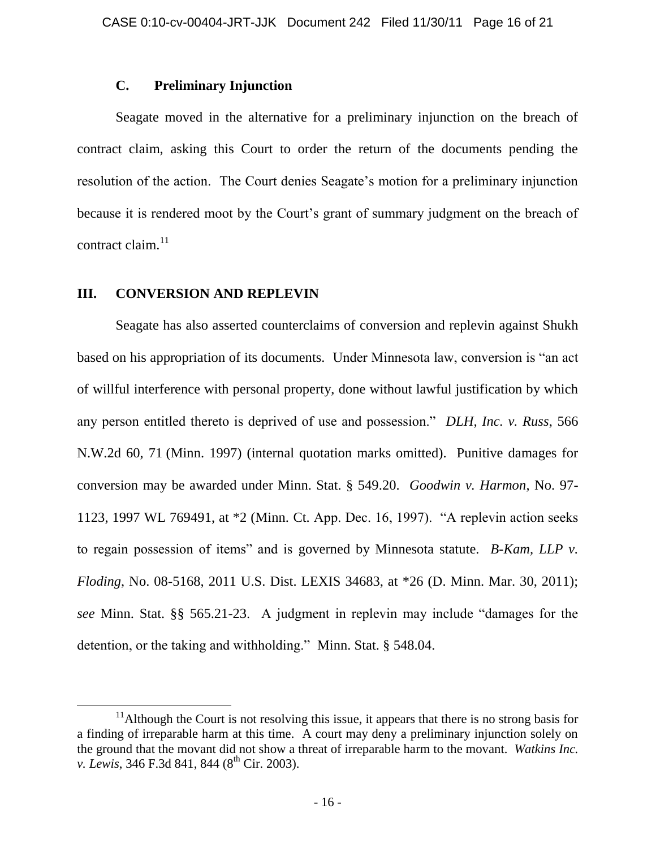# **C. Preliminary Injunction**

Seagate moved in the alternative for a preliminary injunction on the breach of contract claim, asking this Court to order the return of the documents pending the resolution of the action. The Court denies Seagate's motion for a preliminary injunction because it is rendered moot by the Court's grant of summary judgment on the breach of contract claim. $^{11}$ 

# **III. CONVERSION AND REPLEVIN**

 $\overline{a}$ 

Seagate has also asserted counterclaims of conversion and replevin against Shukh based on his appropriation of its documents. Under Minnesota law, conversion is "an act of willful interference with personal property, done without lawful justification by which any person entitled thereto is deprived of use and possession." *DLH, Inc. v. Russ*, 566 N.W.2d 60, 71 (Minn. 1997) (internal quotation marks omitted). Punitive damages for conversion may be awarded under Minn. Stat. § 549.20. *Goodwin v. Harmon*, No. 97- 1123, 1997 WL 769491, at \*2 (Minn. Ct. App. Dec. 16, 1997). "A replevin action seeks to regain possession of items" and is governed by Minnesota statute. *B-Kam, LLP v. Floding*, No. 08-5168, 2011 U.S. Dist. LEXIS 34683, at \*26 (D. Minn. Mar. 30, 2011); *see* Minn. Stat. §§ 565.21-23. A judgment in replevin may include "damages for the detention, or the taking and withholding." Minn. Stat. § 548.04.

 $11$ Although the Court is not resolving this issue, it appears that there is no strong basis for a finding of irreparable harm at this time. A court may deny a preliminary injunction solely on the ground that the movant did not show a threat of irreparable harm to the movant. *Watkins Inc. v. Lewis*, 346 F.3d 841, 844 (8<sup>th</sup> Cir. 2003).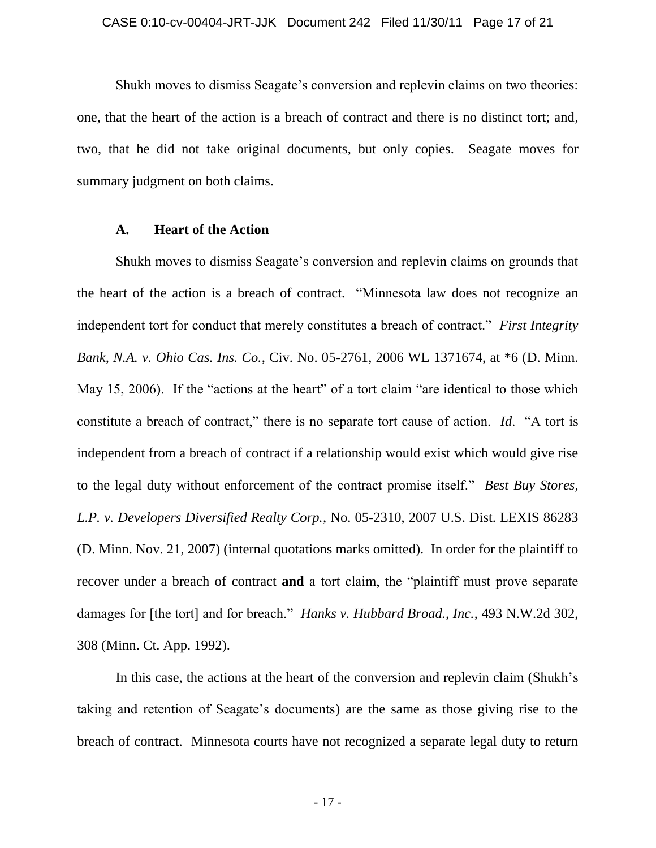Shukh moves to dismiss Seagate"s conversion and replevin claims on two theories: one, that the heart of the action is a breach of contract and there is no distinct tort; and, two, that he did not take original documents, but only copies. Seagate moves for summary judgment on both claims.

### **A. Heart of the Action**

Shukh moves to dismiss Seagate"s conversion and replevin claims on grounds that the heart of the action is a breach of contract. "Minnesota law does not recognize an independent tort for conduct that merely constitutes a breach of contract." *First Integrity Bank, N.A. v. Ohio Cas. Ins. Co.*, Civ. No. 05-2761, 2006 WL 1371674, at \*6 (D. Minn. May 15, 2006). If the "actions at the heart" of a tort claim "are identical to those which constitute a breach of contract," there is no separate tort cause of action. *Id*. "A tort is independent from a breach of contract if a relationship would exist which would give rise to the legal duty without enforcement of the contract promise itself." *Best Buy Stores, L.P. v. Developers Diversified Realty Corp.*, No. 05-2310, 2007 U.S. Dist. LEXIS 86283 (D. Minn. Nov. 21, 2007) (internal quotations marks omitted). In order for the plaintiff to recover under a breach of contract **and** a tort claim, the "plaintiff must prove separate damages for [the tort] and for breach." *Hanks v. Hubbard Broad., Inc.*, 493 N.W.2d 302, 308 (Minn. Ct. App. 1992).

In this case, the actions at the heart of the conversion and replevin claim (Shukh's taking and retention of Seagate"s documents) are the same as those giving rise to the breach of contract. Minnesota courts have not recognized a separate legal duty to return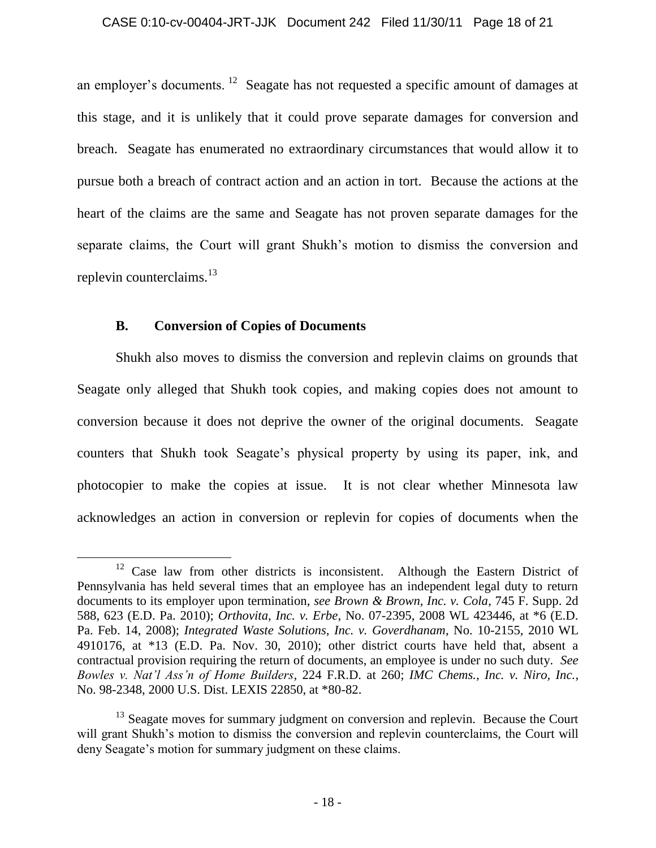an employer's documents. <sup>12</sup> Seagate has not requested a specific amount of damages at this stage, and it is unlikely that it could prove separate damages for conversion and breach. Seagate has enumerated no extraordinary circumstances that would allow it to pursue both a breach of contract action and an action in tort. Because the actions at the heart of the claims are the same and Seagate has not proven separate damages for the separate claims, the Court will grant Shukh"s motion to dismiss the conversion and replevin counterclaims.<sup>13</sup>

# **B. Conversion of Copies of Documents**

 $\overline{a}$ 

Shukh also moves to dismiss the conversion and replevin claims on grounds that Seagate only alleged that Shukh took copies, and making copies does not amount to conversion because it does not deprive the owner of the original documents. Seagate counters that Shukh took Seagate's physical property by using its paper, ink, and photocopier to make the copies at issue. It is not clear whether Minnesota law acknowledges an action in conversion or replevin for copies of documents when the

<sup>&</sup>lt;sup>12</sup> Case law from other districts is inconsistent. Although the Eastern District of Pennsylvania has held several times that an employee has an independent legal duty to return documents to its employer upon termination, *see Brown & Brown, Inc. v. Cola*, 745 F. Supp. 2d 588, 623 (E.D. Pa. 2010); *Orthovita, Inc. v. Erbe*, No. 07-2395, 2008 WL 423446, at \*6 (E.D. Pa. Feb. 14, 2008); *Integrated Waste Solutions, Inc. v. Goverdhanam*, No. 10-2155, 2010 WL 4910176, at \*13 (E.D. Pa. Nov. 30, 2010); other district courts have held that, absent a contractual provision requiring the return of documents, an employee is under no such duty. *See Bowles v. Nat'l Ass'n of Home Builders*, 224 F.R.D. at 260; *IMC Chems., Inc. v. Niro, Inc.*, No. 98-2348, 2000 U.S. Dist. LEXIS 22850, at \*80-82.

<sup>&</sup>lt;sup>13</sup> Seagate moves for summary judgment on conversion and replevin. Because the Court will grant Shukh's motion to dismiss the conversion and replevin counterclaims, the Court will deny Seagate's motion for summary judgment on these claims.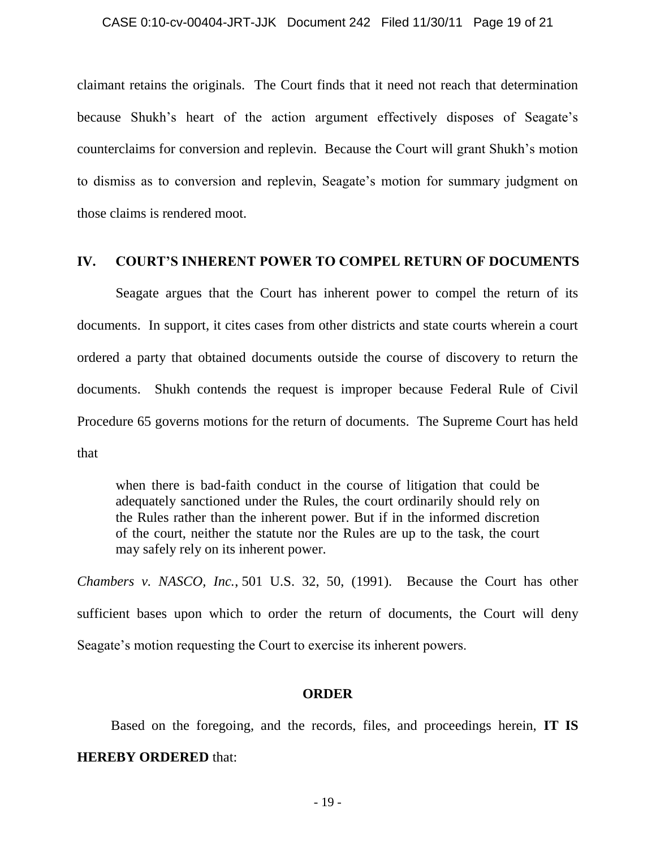claimant retains the originals. The Court finds that it need not reach that determination because Shukh's heart of the action argument effectively disposes of Seagate's counterclaims for conversion and replevin. Because the Court will grant Shukh"s motion to dismiss as to conversion and replevin, Seagate"s motion for summary judgment on those claims is rendered moot.

### **IV. COURT'S INHERENT POWER TO COMPEL RETURN OF DOCUMENTS**

Seagate argues that the Court has inherent power to compel the return of its documents. In support, it cites cases from other districts and state courts wherein a court ordered a party that obtained documents outside the course of discovery to return the documents. Shukh contends the request is improper because Federal Rule of Civil Procedure 65 governs motions for the return of documents. The Supreme Court has held that

when there is bad-faith conduct in the course of litigation that could be adequately sanctioned under the Rules, the court ordinarily should rely on the Rules rather than the inherent power. But if in the informed discretion of the court, neither the statute nor the Rules are up to the task, the court may safely rely on its inherent power.

*Chambers v. NASCO, Inc.*, 501 U.S. 32, 50, (1991). Because the Court has other sufficient bases upon which to order the return of documents, the Court will deny Seagate's motion requesting the Court to exercise its inherent powers.

### **ORDER**

Based on the foregoing, and the records, files, and proceedings herein, **IT IS HEREBY ORDERED** that: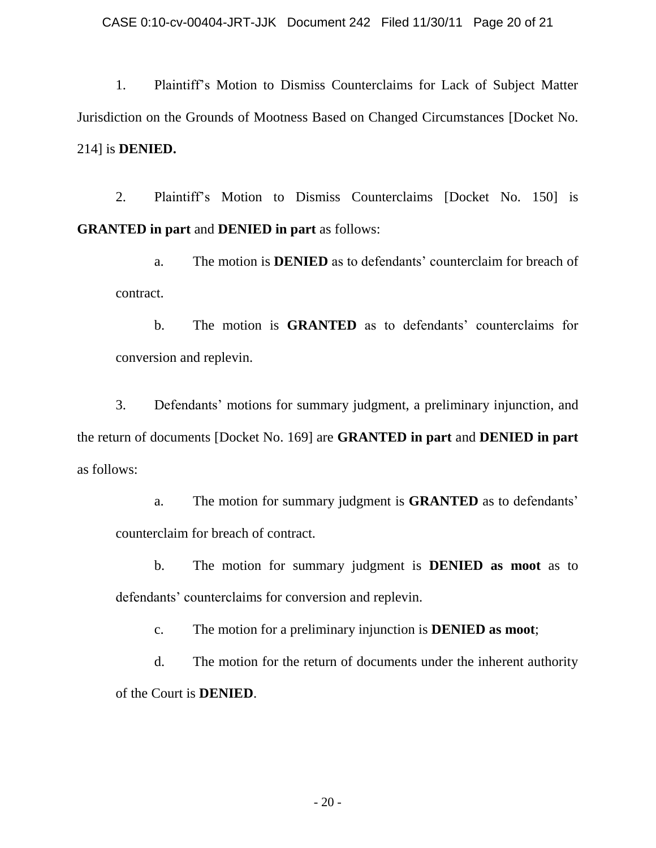1. Plaintiff"s Motion to Dismiss Counterclaims for Lack of Subject Matter Jurisdiction on the Grounds of Mootness Based on Changed Circumstances [Docket No. 214] is **DENIED.**

2. Plaintiff"s Motion to Dismiss Counterclaims [Docket No. 150] is **GRANTED in part** and **DENIED in part** as follows:

a. The motion is **DENIED** as to defendants" counterclaim for breach of contract.

b. The motion is **GRANTED** as to defendants' counterclaims for conversion and replevin.

3. Defendants" motions for summary judgment, a preliminary injunction, and the return of documents [Docket No. 169] are **GRANTED in part** and **DENIED in part** as follows:

a. The motion for summary judgment is **GRANTED** as to defendants" counterclaim for breach of contract.

b. The motion for summary judgment is **DENIED as moot** as to defendants' counterclaims for conversion and replevin.

c. The motion for a preliminary injunction is **DENIED as moot**;

d. The motion for the return of documents under the inherent authority of the Court is **DENIED**.